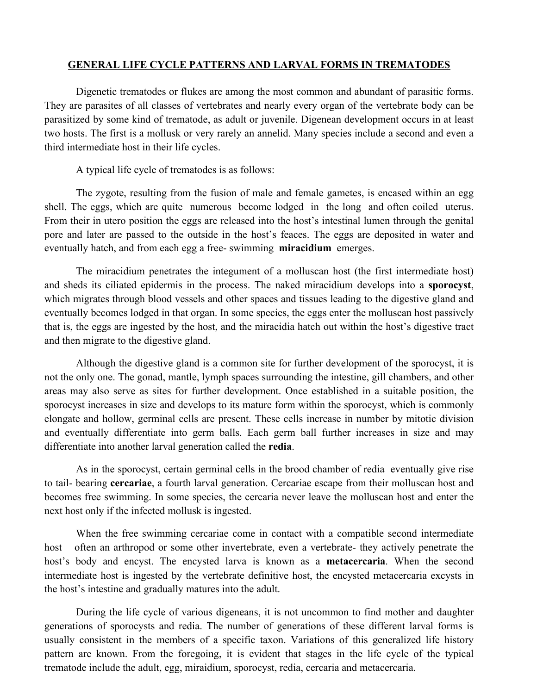#### **GENERAL LIFE CYCLE PATTERNS AND LARVAL FORMS IN TREMATODES**

Digenetic trematodes or flukes are among the most common and abundant of parasitic forms. They are parasites of all classes of vertebrates and nearly every organ of the vertebrate body can be parasitized by some kind of trematode, as adult or juvenile. Digenean development occurs in at least two hosts. The first is a mollusk or very rarely an annelid. Many species include a second and even a third intermediate host in their life cycles.

A typical life cycle of trematodes is as follows:

The zygote, resulting from the fusion of male and female gametes, is encased within an egg shell. The eggs, which are quite numerous become lodged in the long and often coiled uterus. From their in utero position the eggs are released into the host's intestinal lumen through the genital pore and later are passed to the outside in the host's feaces. The eggs are deposited in water and eventually hatch, and from each egg a free- swimming **miracidium** emerges.

The miracidium penetrates the integument of a molluscan host (the first intermediate host) and sheds its ciliated epidermis in the process. The naked miracidium develops into a **sporocyst**, which migrates through blood vessels and other spaces and tissues leading to the digestive gland and eventually becomes lodged in that organ. In some species, the eggs enter the molluscan host passively that is, the eggs are ingested by the host, and the miracidia hatch out within the host's digestive tract and then migrate to the digestive gland.

Although the digestive gland is a common site for further development of the sporocyst, it is not the only one. The gonad, mantle, lymph spaces surrounding the intestine, gill chambers, and other areas may also serve as sites for further development. Once established in a suitable position, the sporocyst increases in size and develops to its mature form within the sporocyst, which is commonly elongate and hollow, germinal cells are present. These cells increase in number by mitotic division and eventually differentiate into germ balls. Each germ ball further increases in size and may differentiate into another larval generation called the **redia**.

As in the sporocyst, certain germinal cells in the brood chamber of redia eventually give rise to tail- bearing **cercariae**, a fourth larval generation. Cercariae escape from their molluscan host and becomes free swimming. In some species, the cercaria never leave the molluscan host and enter the next host only if the infected mollusk is ingested.

When the free swimming cercariae come in contact with a compatible second intermediate host – often an arthropod or some other invertebrate, even a vertebrate- they actively penetrate the host's body and encyst. The encysted larva is known as a **metacercaria**. When the second intermediate host is ingested by the vertebrate definitive host, the encysted metacercaria excysts in the host's intestine and gradually matures into the adult.

During the life cycle of various digeneans, it is not uncommon to find mother and daughter generations of sporocysts and redia. The number of generations of these different larval forms is usually consistent in the members of a specific taxon. Variations of this generalized life history pattern are known. From the foregoing, it is evident that stages in the life cycle of the typical trematode include the adult, egg, miraidium, sporocyst, redia, cercaria and metacercaria.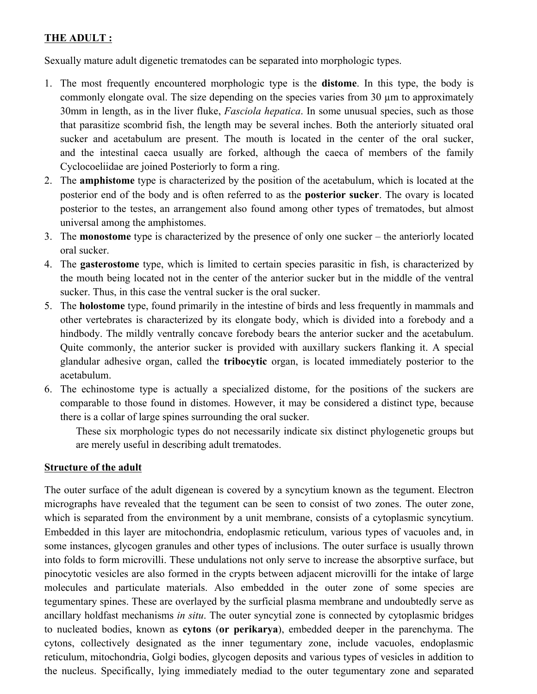# **THE ADULT :**

Sexually mature adult digenetic trematodes can be separated into morphologic types.

- 1. The most frequently encountered morphologic type is the **distome**. In this type, the body is commonly elongate oval. The size depending on the species varies from 30 um to approximately 30mm in length, as in the liver fluke, *Fasciola hepatica*. In some unusual species, such as those that parasitize scombrid fish, the length may be several inches. Both the anteriorly situated oral sucker and acetabulum are present. The mouth is located in the center of the oral sucker, and the intestinal caeca usually are forked, although the caeca of members of the family Cyclocoeliidae are joined Posteriorly to form a ring.
- 2. The **amphistome** type is characterized by the position of the acetabulum, which is located at the posterior end of the body and is often referred to as the **posterior sucker**. The ovary is located posterior to the testes, an arrangement also found among other types of trematodes, but almost universal among the amphistomes.
- 3. The **monostome** type is characterized by the presence of only one sucker the anteriorly located oral sucker.
- 4. The **gasterostome** type, which is limited to certain species parasitic in fish, is characterized by the mouth being located not in the center of the anterior sucker but in the middle of the ventral sucker. Thus, in this case the ventral sucker is the oral sucker.
- 5. The **holostome** type, found primarily in the intestine of birds and less frequently in mammals and other vertebrates is characterized by its elongate body, which is divided into a forebody and a hindbody. The mildly ventrally concave forebody bears the anterior sucker and the acetabulum. Quite commonly, the anterior sucker is provided with auxillary suckers flanking it. A special glandular adhesive organ, called the **tribocytic** organ, is located immediately posterior to the acetabulum.
- 6. The echinostome type is actually a specialized distome, for the positions of the suckers are comparable to those found in distomes. However, it may be considered a distinct type, because there is a collar of large spines surrounding the oral sucker.

These six morphologic types do not necessarily indicate six distinct phylogenetic groups but are merely useful in describing adult trematodes.

### **Structure of the adult**

The outer surface of the adult digenean is covered by a syncytium known as the tegument. Electron micrographs have revealed that the tegument can be seen to consist of two zones. The outer zone, which is separated from the environment by a unit membrane, consists of a cytoplasmic syncytium. Embedded in this layer are mitochondria, endoplasmic reticulum, various types of vacuoles and, in some instances, glycogen granules and other types of inclusions. The outer surface is usually thrown into folds to form microvilli. These undulations not only serve to increase the absorptive surface, but pinocytotic vesicles are also formed in the crypts between adjacent microvilli for the intake of large molecules and particulate materials. Also embedded in the outer zone of some species are tegumentary spines. These are overlayed by the surficial plasma membrane and undoubtedly serve as ancillary holdfast mechanisms *in situ*. The outer syncytial zone is connected by cytoplasmic bridges to nucleated bodies, known as **cytons** (**or perikarya**), embedded deeper in the parenchyma. The cytons, collectively designated as the inner tegumentary zone, include vacuoles, endoplasmic reticulum, mitochondria, Golgi bodies, glycogen deposits and various types of vesicles in addition to the nucleus. Specifically, lying immediately mediad to the outer tegumentary zone and separated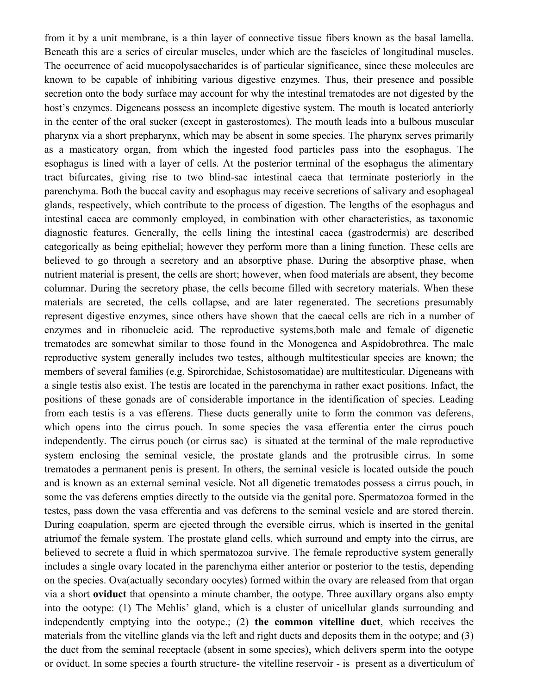from it by a unit membrane, is a thin layer of connective tissue fibers known as the basal lamella. Beneath this are a series of circular muscles, under which are the fascicles of longitudinal muscles. The occurrence of acid mucopolysaccharides is of particular significance, since these molecules are known to be capable of inhibiting various digestive enzymes. Thus, their presence and possible secretion onto the body surface may account for why the intestinal trematodes are not digested by the host's enzymes. Digeneans possess an incomplete digestive system. The mouth is located anteriorly in the center of the oral sucker (except in gasterostomes). The mouth leads into a bulbous muscular pharynx via a short prepharynx, which may be absent in some species. The pharynx serves primarily as a masticatory organ, from which the ingested food particles pass into the esophagus. The esophagus is lined with a layer of cells. At the posterior terminal of the esophagus the alimentary tract bifurcates, giving rise to two blind-sac intestinal caeca that terminate posteriorly in the parenchyma. Both the buccal cavity and esophagus may receive secretions of salivary and esophageal glands, respectively, which contribute to the process of digestion. The lengths of the esophagus and intestinal caeca are commonly employed, in combination with other characteristics, as taxonomic diagnostic features. Generally, the cells lining the intestinal caeca (gastrodermis) are described categorically as being epithelial; however they perform more than a lining function. These cells are believed to go through a secretory and an absorptive phase. During the absorptive phase, when nutrient material is present, the cells are short; however, when food materials are absent, they become columnar. During the secretory phase, the cells become filled with secretory materials. When these materials are secreted, the cells collapse, and are later regenerated. The secretions presumably represent digestive enzymes, since others have shown that the caecal cells are rich in a number of enzymes and in ribonucleic acid. The reproductive systems,both male and female of digenetic trematodes are somewhat similar to those found in the Monogenea and Aspidobrothrea. The male reproductive system generally includes two testes, although multitesticular species are known; the members of several families (e.g. Spirorchidae, Schistosomatidae) are multitesticular. Digeneans with a single testis also exist. The testis are located in the parenchyma in rather exact positions. Infact, the positions of these gonads are of considerable importance in the identification of species. Leading from each testis is a vas efferens. These ducts generally unite to form the common vas deferens, which opens into the cirrus pouch. In some species the vasa efferentia enter the cirrus pouch independently. The cirrus pouch (or cirrus sac) is situated at the terminal of the male reproductive system enclosing the seminal vesicle, the prostate glands and the protrusible cirrus. In some trematodes a permanent penis is present. In others, the seminal vesicle is located outside the pouch and is known as an external seminal vesicle. Not all digenetic trematodes possess a cirrus pouch, in some the vas deferens empties directly to the outside via the genital pore. Spermatozoa formed in the testes, pass down the vasa efferentia and vas deferens to the seminal vesicle and are stored therein. During coapulation, sperm are ejected through the eversible cirrus, which is inserted in the genital atriumof the female system. The prostate gland cells, which surround and empty into the cirrus, are believed to secrete a fluid in which spermatozoa survive. The female reproductive system generally includes a single ovary located in the parenchyma either anterior or posterior to the testis, depending on the species. Ova(actually secondary oocytes) formed within the ovary are released from that organ via a short **oviduct** that opensinto a minute chamber, the ootype. Three auxillary organs also empty into the ootype: (1) The Mehlis' gland, which is a cluster of unicellular glands surrounding and independently emptying into the ootype.; (2) **the common vitelline duct**, which receives the materials from the vitelline glands via the left and right ducts and deposits them in the ootype; and (3) the duct from the seminal receptacle (absent in some species), which delivers sperm into the ootype or oviduct. In some species a fourth structure- the vitelline reservoir - is present as a diverticulum of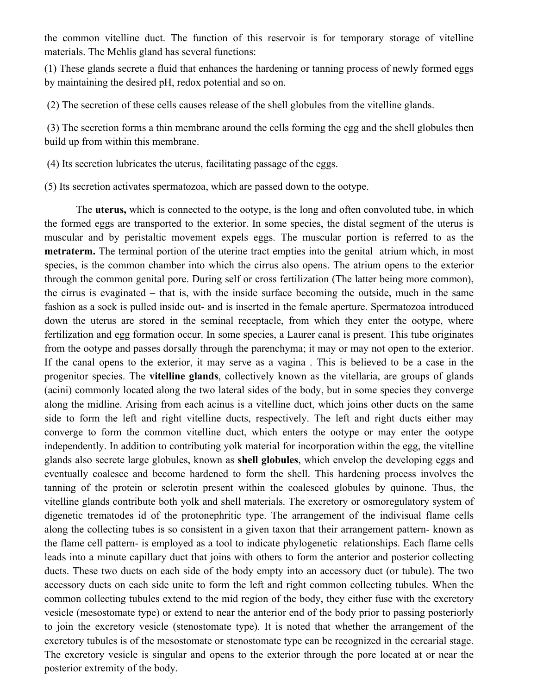the common vitelline duct. The function of this reservoir is for temporary storage of vitelline materials. The Mehlis gland has several functions:

(1) These glands secrete a fluid that enhances the hardening or tanning process of newly formed eggs by maintaining the desired pH, redox potential and so on.

(2) The secretion of these cells causes release of the shell globules from the vitelline glands.

(3) The secretion forms a thin membrane around the cells forming the egg and the shell globules then build up from within this membrane.

(4) Its secretion lubricates the uterus, facilitating passage of the eggs.

(5) Its secretion activates spermatozoa, which are passed down to the ootype.

The **uterus,** which is connected to the ootype, is the long and often convoluted tube, in which the formed eggs are transported to the exterior. In some species, the distal segment of the uterus is muscular and by peristaltic movement expels eggs. The muscular portion is referred to as the **metraterm.** The terminal portion of the uterine tract empties into the genital atrium which, in most species, is the common chamber into which the cirrus also opens. The atrium opens to the exterior through the common genital pore. During self or cross fertilization (The latter being more common), the cirrus is evaginated – that is, with the inside surface becoming the outside, much in the same fashion as a sock is pulled inside out- and is inserted in the female aperture. Spermatozoa introduced down the uterus are stored in the seminal receptacle, from which they enter the ootype, where fertilization and egg formation occur. In some species, a Laurer canal is present. This tube originates from the ootype and passes dorsally through the parenchyma; it may or may not open to the exterior. If the canal opens to the exterior, it may serve as a vagina . This is believed to be a case in the progenitor species. The **vitelline glands**, collectively known as the vitellaria, are groups of glands (acini) commonly located along the two lateral sides of the body, but in some species they converge along the midline. Arising from each acinus is a vitelline duct, which joins other ducts on the same side to form the left and right vitelline ducts, respectively. The left and right ducts either may converge to form the common vitelline duct, which enters the ootype or may enter the ootype independently. In addition to contributing yolk material for incorporation within the egg, the vitelline glands also secrete large globules, known as **shell globules**, which envelop the developing eggs and eventually coalesce and become hardened to form the shell. This hardening process involves the tanning of the protein or sclerotin present within the coalesced globules by quinone. Thus, the vitelline glands contribute both yolk and shell materials. The excretory or osmoregulatory system of digenetic trematodes id of the protonephritic type. The arrangement of the indivisual flame cells along the collecting tubes is so consistent in a given taxon that their arrangement pattern- known as the flame cell pattern- is employed as a tool to indicate phylogenetic relationships. Each flame cells leads into a minute capillary duct that joins with others to form the anterior and posterior collecting ducts. These two ducts on each side of the body empty into an accessory duct (or tubule). The two accessory ducts on each side unite to form the left and right common collecting tubules. When the common collecting tubules extend to the mid region of the body, they either fuse with the excretory vesicle (mesostomate type) or extend to near the anterior end of the body prior to passing posteriorly to join the excretory vesicle (stenostomate type). It is noted that whether the arrangement of the excretory tubules is of the mesostomate or stenostomate type can be recognized in the cercarial stage. The excretory vesicle is singular and opens to the exterior through the pore located at or near the posterior extremity of the body.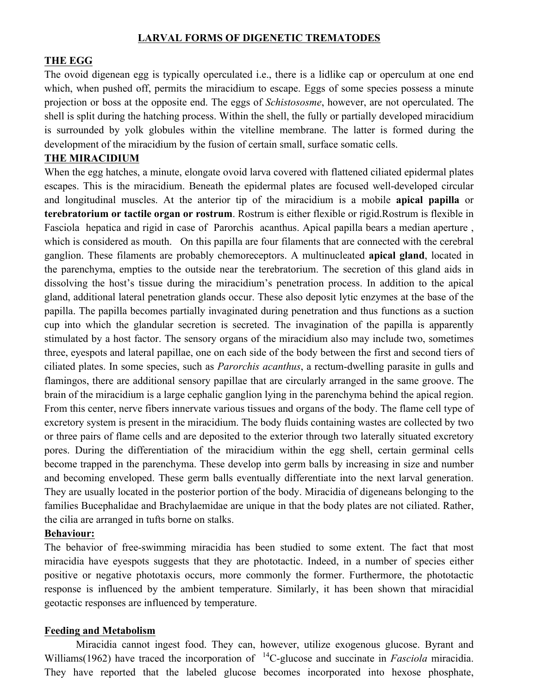### **LARVAL FORMS OF DIGENETIC TREMATODES**

### **THE EGG**

The ovoid digenean egg is typically operculated i.e., there is a lidlike cap or operculum at one end which, when pushed off, permits the miracidium to escape. Eggs of some species possess a minute projection or boss at the opposite end. The eggs of *Schistososme*, however, are not operculated. The shell is split during the hatching process. Within the shell, the fully or partially developed miracidium is surrounded by yolk globules within the vitelline membrane. The latter is formed during the development of the miracidium by the fusion of certain small, surface somatic cells.

### **THE MIRACIDIUM**

When the egg hatches, a minute, elongate ovoid larva covered with flattened ciliated epidermal plates escapes. This is the miracidium. Beneath the epidermal plates are focused well-developed circular and longitudinal muscles. At the anterior tip of the miracidium is a mobile **apical papilla** or **terebratorium or tactile organ or rostrum**. Rostrum is either flexible or rigid.Rostrum is flexible in Fasciola hepatica and rigid in case of Parorchis acanthus. Apical papilla bears a median aperture , which is considered as mouth. On this papilla are four filaments that are connected with the cerebral ganglion. These filaments are probably chemoreceptors. A multinucleated **apical gland**, located in the parenchyma, empties to the outside near the terebratorium. The secretion of this gland aids in dissolving the host's tissue during the miracidium's penetration process. In addition to the apical gland, additional lateral penetration glands occur. These also deposit lytic enzymes at the base of the papilla. The papilla becomes partially invaginated during penetration and thus functions as a suction cup into which the glandular secretion is secreted. The invagination of the papilla is apparently stimulated by a host factor. The sensory organs of the miracidium also may include two, sometimes three, eyespots and lateral papillae, one on each side of the body between the first and second tiers of ciliated plates. In some species, such as *Parorchis acanthus*, a rectum-dwelling parasite in gulls and flamingos, there are additional sensory papillae that are circularly arranged in the same groove. The brain of the miracidium is a large cephalic ganglion lying in the parenchyma behind the apical region. From this center, nerve fibers innervate various tissues and organs of the body. The flame cell type of excretory system is present in the miracidium. The body fluids containing wastes are collected by two or three pairs of flame cells and are deposited to the exterior through two laterally situated excretory pores. During the differentiation of the miracidium within the egg shell, certain germinal cells become trapped in the parenchyma. These develop into germ balls by increasing in size and number and becoming enveloped. These germ balls eventually differentiate into the next larval generation. They are usually located in the posterior portion of the body. Miracidia of digeneans belonging to the families Bucephalidae and Brachylaemidae are unique in that the body plates are not ciliated. Rather, the cilia are arranged in tufts borne on stalks.

### **Behaviour:**

The behavior of free-swimming miracidia has been studied to some extent. The fact that most miracidia have eyespots suggests that they are phototactic. Indeed, in a number of species either positive or negative phototaxis occurs, more commonly the former. Furthermore, the phototactic response is influenced by the ambient temperature. Similarly, it has been shown that miracidial geotactic responses are influenced by temperature.

### **Feeding and Metabolism**

Miracidia cannot ingest food. They can, however, utilize exogenous glucose. Byrant and Williams(1962) have traced the incorporation of  $^{14}$ C-glucose and succinate in *Fasciola* miracidia. They have reported that the labeled glucose becomes incorporated into hexose phosphate,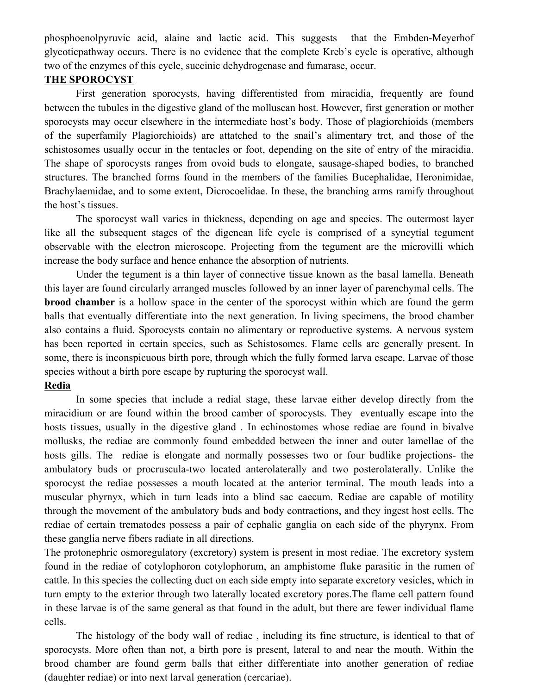phosphoenolpyruvic acid, alaine and lactic acid. This suggests that the Embden-Meyerhof glycoticpathway occurs. There is no evidence that the complete Kreb's cycle is operative, although two of the enzymes of this cycle, succinic dehydrogenase and fumarase, occur.

### **THE SPOROCYST**

First generation sporocysts, having differentisted from miracidia, frequently are found between the tubules in the digestive gland of the molluscan host. However, first generation or mother sporocysts may occur elsewhere in the intermediate host's body. Those of plagiorchioids (members of the superfamily Plagiorchioids) are attatched to the snail's alimentary trct, and those of the schistosomes usually occur in the tentacles or foot, depending on the site of entry of the miracidia. The shape of sporocysts ranges from ovoid buds to elongate, sausage-shaped bodies, to branched structures. The branched forms found in the members of the families Bucephalidae, Heronimidae, Brachylaemidae, and to some extent, Dicrocoelidae. In these, the branching arms ramify throughout the host's tissues.

The sporocyst wall varies in thickness, depending on age and species. The outermost layer like all the subsequent stages of the digenean life cycle is comprised of a syncytial tegument observable with the electron microscope. Projecting from the tegument are the microvilli which increase the body surface and hence enhance the absorption of nutrients.

Under the tegument is a thin layer of connective tissue known as the basal lamella. Beneath this layer are found circularly arranged muscles followed by an inner layer of parenchymal cells. The **brood chamber** is a hollow space in the center of the sporocyst within which are found the germ balls that eventually differentiate into the next generation. In living specimens, the brood chamber also contains a fluid. Sporocysts contain no alimentary or reproductive systems. A nervous system has been reported in certain species, such as Schistosomes. Flame cells are generally present. In some, there is inconspicuous birth pore, through which the fully formed larva escape. Larvae of those species without a birth pore escape by rupturing the sporocyst wall.

### **Redia**

In some species that include a redial stage, these larvae either develop directly from the miracidium or are found within the brood camber of sporocysts. They eventually escape into the hosts tissues, usually in the digestive gland . In echinostomes whose rediae are found in bivalve mollusks, the rediae are commonly found embedded between the inner and outer lamellae of the hosts gills. The rediae is elongate and normally possesses two or four budlike projections- the ambulatory buds or procruscula-two located anterolaterally and two posterolaterally. Unlike the sporocyst the rediae possesses a mouth located at the anterior terminal. The mouth leads into a muscular phyrnyx, which in turn leads into a blind sac caecum. Rediae are capable of motility through the movement of the ambulatory buds and body contractions, and they ingest host cells. The rediae of certain trematodes possess a pair of cephalic ganglia on each side of the phyrynx. From these ganglia nerve fibers radiate in all directions.

The protonephric osmoregulatory (excretory) system is present in most rediae. The excretory system found in the rediae of cotylophoron cotylophorum, an amphistome fluke parasitic in the rumen of cattle. In this species the collecting duct on each side empty into separate excretory vesicles, which in turn empty to the exterior through two laterally located excretory pores.The flame cell pattern found in these larvae is of the same general as that found in the adult, but there are fewer individual flame cells.

The histology of the body wall of rediae , including its fine structure, is identical to that of sporocysts. More often than not, a birth pore is present, lateral to and near the mouth. Within the brood chamber are found germ balls that either differentiate into another generation of rediae (daughter rediae) or into next larval generation (cercariae).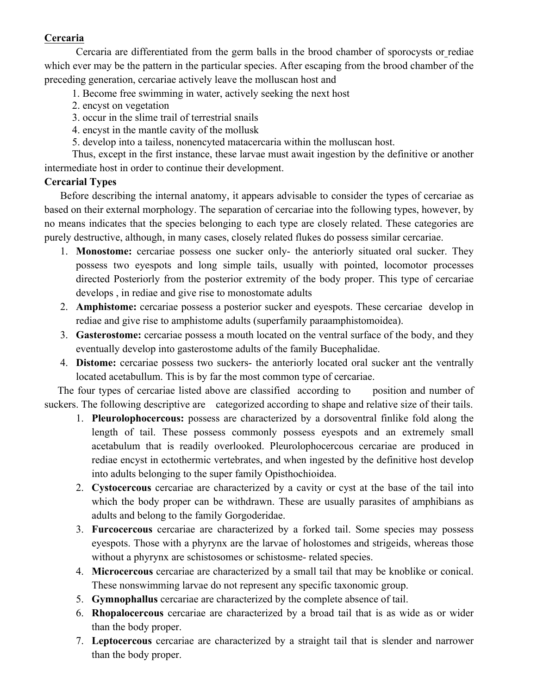### **Cercaria**

Cercaria are differentiated from the germ balls in the brood chamber of sporocysts or rediae which ever may be the pattern in the particular species. After escaping from the brood chamber of the preceding generation, cercariae actively leave the molluscan host and

- 1. Become free swimming in water, actively seeking the next host
- 2. encyst on vegetation
- 3. occur in the slime trail of terrestrial snails
- 4. encyst in the mantle cavity of the mollusk
- 5. develop into a tailess, nonencyted matacercaria within the molluscan host.

Thus, except in the first instance, these larvae must await ingestion by the definitive or another intermediate host in order to continue their development.

## **Cercarial Types**

Before describing the internal anatomy, it appears advisable to consider the types of cercariae as based on their external morphology. The separation of cercariae into the following types, however, by no means indicates that the species belonging to each type are closely related. These categories are purely destructive, although, in many cases, closely related flukes do possess similar cercariae.

- 1. **Monostome:** cercariae possess one sucker only- the anteriorly situated oral sucker. They possess two eyespots and long simple tails, usually with pointed, locomotor processes directed Posteriorly from the posterior extremity of the body proper. This type of cercariae develops , in rediae and give rise to monostomate adults
- 2. **Amphistome:** cercariae possess a posterior sucker and eyespots. These cercariae develop in rediae and give rise to amphistome adults (superfamily paraamphistomoidea).
- 3. **Gasterostome:** cercariae possess a mouth located on the ventral surface of the body, and they eventually develop into gasterostome adults of the family Bucephalidae.
- 4. **Distome:** cercariae possess two suckers- the anteriorly located oral sucker ant the ventrally located acetabullum. This is by far the most common type of cercariae.

The four types of cercariae listed above are classified according to position and number of suckers. The following descriptive are categorized according to shape and relative size of their tails.

- 1. **Pleurolophocercous:** possess are characterized by a dorsoventral finlike fold along the length of tail. These possess commonly possess eyespots and an extremely small acetabulum that is readily overlooked. Pleurolophocercous cercariae are produced in rediae encyst in ectothermic vertebrates, and when ingested by the definitive host develop into adults belonging to the super family Opisthochioidea.
- 2. **Cystocercous** cercariae are characterized by a cavity or cyst at the base of the tail into which the body proper can be withdrawn. These are usually parasites of amphibians as adults and belong to the family Gorgoderidae.
- 3. **Furcocercous** cercariae are characterized by a forked tail. Some species may possess eyespots. Those with a phyrynx are the larvae of holostomes and strigeids, whereas those without a phyrynx are schistosomes or schistosme- related species.
- 4. **Microcercous** cercariae are characterized by a small tail that may be knoblike or conical. These nonswimming larvae do not represent any specific taxonomic group.
- 5. **Gymnophallus** cercariae are characterized by the complete absence of tail.
- 6. **Rhopalocercous** cercariae are characterized by a broad tail that is as wide as or wider than the body proper.
- 7. **Leptocercous** cercariae are characterized by a straight tail that is slender and narrower than the body proper.